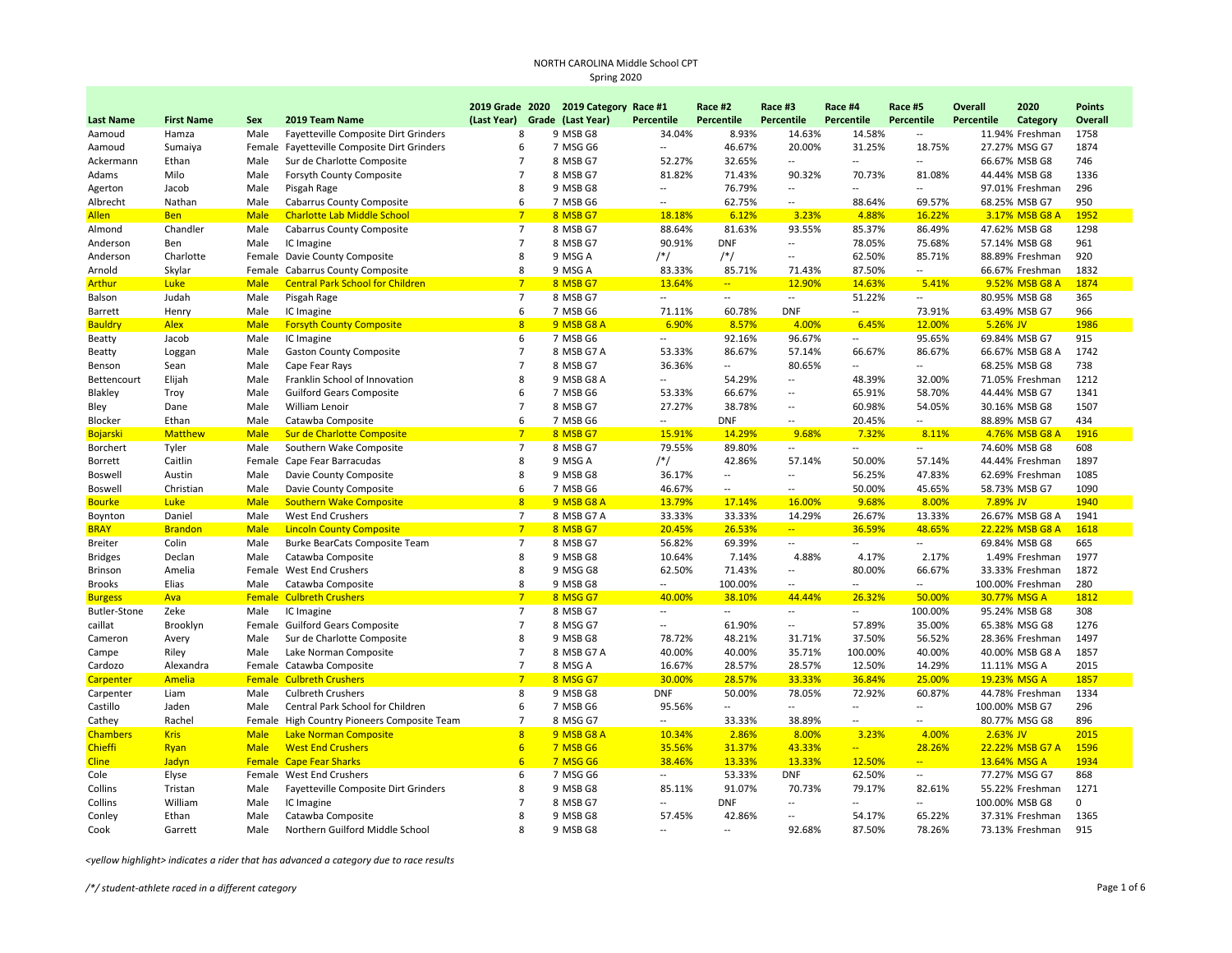|                     |                   |             |                                             |                         | 2019 Grade 2020 2019 Category Race #1 |                          | Race #2                  | Race #3                  | Race #4                  | Race #5                            | Overall    | 2020             | <b>Points</b> |
|---------------------|-------------------|-------------|---------------------------------------------|-------------------------|---------------------------------------|--------------------------|--------------------------|--------------------------|--------------------------|------------------------------------|------------|------------------|---------------|
| <b>Last Name</b>    | <b>First Name</b> | Sex         | 2019 Team Name                              | (Last Year)             | Grade (Last Year)                     | Percentile               | Percentile               | Percentile               | Percentile               | Percentile                         | Percentile | Category         | Overall       |
| Aamoud              | Hamza             | Male        | Fayetteville Composite Dirt Grinders        | 8                       | 9 MSB G8                              | 34.04%                   | 8.93%                    | 14.63%                   | 14.58%                   | $\overline{a}$                     |            | 11.94% Freshman  | 1758          |
| Aamoud              | Sumaiya           |             | Female Fayetteville Composite Dirt Grinders | 6                       | 7 MSG G6                              | $\overline{\phantom{a}}$ | 46.67%                   | 20.00%                   | 31.25%                   | 18.75%                             |            | 27.27% MSG G7    | 1874          |
| Ackermann           | Ethan             | Male        | Sur de Charlotte Composite                  | $\overline{7}$          | 8 MSB G7                              | 52.27%                   | 32.65%                   | $\overline{\phantom{a}}$ | $\overline{\phantom{a}}$ | $\overline{a}$                     |            | 66.67% MSB G8    | 746           |
| Adams               | Milo              | Male        | Forsyth County Composite                    | $\overline{7}$          | 8 MSB G7                              | 81.82%                   | 71.43%                   | 90.32%                   | 70.73%                   | 81.08%                             |            | 44.44% MSB G8    | 1336          |
| Agerton             | Jacob             | Male        | Pisgah Rage                                 | 8                       | 9 MSB G8                              | $\overline{\phantom{a}}$ | 76.79%                   | $\overline{\phantom{a}}$ |                          |                                    |            | 97.01% Freshman  | 296           |
| Albrecht            | Nathan            | Male        | <b>Cabarrus County Composite</b>            | 6                       | 7 MSB G6                              | $\sim$                   | 62.75%                   | $\overline{\phantom{a}}$ | 88.64%                   | 69.57%                             |            | 68.25% MSB G7    | 950           |
| <b>Allen</b>        | <b>Ben</b>        | <b>Male</b> | <b>Charlotte Lab Middle School</b>          | $\overline{7}$          | 8 MSB G7                              | 18.18%                   | 6.12%                    | 3.23%                    | 4.88%                    | 16.22%                             |            | 3.17% MSB G8 A   | 1952          |
| Almond              | Chandler          | Male        | <b>Cabarrus County Composite</b>            | $\overline{7}$          | 8 MSB G7                              | 88.64%                   | 81.63%                   | 93.55%                   | 85.37%                   | 86.49%                             |            | 47.62% MSB G8    | 1298          |
| Anderson            | Ben               | Male        | IC Imagine                                  | $\overline{7}$          | 8 MSB G7                              | 90.91%                   | <b>DNF</b>               | $\overline{a}$           | 78.05%                   | 75.68%                             |            | 57.14% MSB G8    | 961           |
| Anderson            | Charlotte         |             | Female Davie County Composite               | 8                       | 9 MSG A                               | $/*/$                    | $/*/$                    | $\overline{a}$           | 62.50%                   | 85.71%                             |            | 88.89% Freshman  | 920           |
| Arnold              | Skylar            | Female      | <b>Cabarrus County Composite</b>            | 8                       | 9 MSG A                               | 83.33%                   | 85.71%                   | 71.43%                   | 87.50%                   | $\overline{a}$                     |            | 66.67% Freshman  | 1832          |
| <b>Arthur</b>       | <b>Luke</b>       | <b>Male</b> | <b>Central Park School for Children</b>     | $\overline{7}$          | 8 MSB G7                              | 13.64%                   | $\frac{1}{2}$            | 12.90%                   | 14.63%                   | 5.41%                              |            | 9.52% MSB G8 A   | 1874          |
| Balson              | Judah             | Male        | Pisgah Rage                                 | $\overline{7}$          | 8 MSB G7                              | $\overline{\phantom{a}}$ | $\overline{a}$           | $\sim$                   | 51.22%                   | $\overline{a}$                     |            | 80.95% MSB G8    | 365           |
| Barrett             | Henry             | Male        | IC Imagine                                  | 6                       | 7 MSB G6                              | 71.11%                   | 60.78%                   | <b>DNF</b>               | $\overline{\phantom{a}}$ | 73.91%                             |            | 63.49% MSB G7    | 966           |
| <b>Bauldry</b>      | <b>Alex</b>       | <b>Male</b> | <b>Forsyth County Composite</b>             | $\overline{\mathbf{8}}$ | 9 MSB G8 A                            | 6.90%                    | 8.57%                    | 4.00%                    | 6.45%                    | 12.00%                             | 5.26% JV   |                  | 1986          |
| Beatty              | Jacob             | Male        | IC Imagine                                  | 6                       | 7 MSB G6                              | $\overline{\phantom{a}}$ | 92.16%                   | 96.67%                   | $\sim$                   | 95.65%                             |            | 69.84% MSB G7    | 915           |
| Beatty              | Loggan            | Male        | <b>Gaston County Composite</b>              | $\overline{7}$          | 8 MSB G7 A                            | 53.33%                   | 86.67%                   | 57.14%                   | 66.67%                   | 86.67%                             |            | 66.67% MSB G8 A  | 1742          |
| Benson              | Sean              | Male        | Cape Fear Rays                              | $\overline{7}$          | 8 MSB G7                              | 36.36%                   | $\overline{\phantom{a}}$ | 80.65%                   | $\sim$                   | $\overline{a}$                     |            | 68.25% MSB G8    | 738           |
| Bettencourt         | Elijah            | Male        | Franklin School of Innovation               | 8                       | 9 MSB G8 A                            | Ξ.                       | 54.29%                   | $\overline{\phantom{a}}$ | 48.39%                   | 32.00%                             |            | 71.05% Freshman  | 1212          |
| Blakley             | Troy              | Male        | <b>Guilford Gears Composite</b>             | 6                       | 7 MSB G6                              | 53.33%                   | 66.67%                   | $\overline{\phantom{a}}$ | 65.91%                   | 58.70%                             |            | 44.44% MSB G7    | 1341          |
| Bley                | Dane              | Male        | William Lenoir                              | $\overline{7}$          | 8 MSB G7                              | 27.27%                   | 38.78%                   | $\overline{\phantom{a}}$ | 60.98%                   | 54.05%                             |            | 30.16% MSB G8    | 1507          |
| Blocker             | Ethan             | Male        | Catawba Composite                           | 6                       | 7 MSB G6                              | $\sim$                   | <b>DNF</b>               | $\overline{a}$           | 20.45%                   | $\overline{a}$                     |            | 88.89% MSB G7    | 434           |
| <b>Bojarski</b>     | <b>Matthew</b>    | <b>Male</b> | Sur de Charlotte Composite                  | $\overline{7}$          | 8 MSB G7                              | 15.91%                   | 14.29%                   | 9.68%                    | 7.32%                    | 8.11%                              |            | 4.76% MSB G8 A   | 1916          |
| Borchert            | Tyler             | Male        | Southern Wake Composite                     | $\overline{7}$          | 8 MSB G7                              | 79.55%                   | 89.80%                   | $\overline{\phantom{a}}$ | $\overline{\phantom{a}}$ | $\overline{a}$                     |            | 74.60% MSB G8    | 608           |
| Borrett             | Caitlin           | Female      | Cape Fear Barracudas                        | 8                       | 9 MSG A                               | $/*/$                    | 42.86%                   | 57.14%                   | 50.00%                   | 57.14%                             |            | 44.44% Freshman  | 1897          |
| Boswell             | Austin            | Male        | Davie County Composite                      | 8                       | 9 MSB G8                              | 36.17%                   | --                       | $\sim$                   | 56.25%                   | 47.83%                             |            | 62.69% Freshman  | 1085          |
| <b>Boswell</b>      | Christian         | Male        | Davie County Composite                      | 6                       | 7 MSB G6                              | 46.67%                   | --                       | $\overline{\phantom{a}}$ | 50.00%                   | 45.65%                             |            | 58.73% MSB G7    | 1090          |
| <b>Bourke</b>       | Luke              | <b>Male</b> | <b>Southern Wake Composite</b>              | 8                       | 9 MSB G8 A                            | 13.79%                   | 17.14%                   | 16.00%                   | 9.68%                    | 8.00%                              | 7.89% JV   |                  | 1940          |
| Boynton             | Daniel            | Male        | West End Crushers                           | $\overline{7}$          | 8 MSB G7 A                            | 33.33%                   | 33.33%                   | 14.29%                   | 26.67%                   | 13.33%                             |            | 26.67% MSB G8 A  | 1941          |
| <b>BRAY</b>         | <b>Brandon</b>    | <b>Male</b> | <b>Lincoln County Composite</b>             | $7\overline{ }$         | 8 MSB G7                              | 20.45%                   | 26.53%                   | $\frac{1}{2}$            | 36.59%                   | 48.65%                             |            | 22.22% MSB G8 A  | 1618          |
| <b>Breiter</b>      | Colin             | Male        | Burke BearCats Composite Team               | $\overline{7}$          | 8 MSB G7                              | 56.82%                   | 69.39%                   | $\sim$                   | $\overline{\phantom{a}}$ | $\overline{a}$                     |            | 69.84% MSB G8    | 665           |
| <b>Bridges</b>      | Declan            | Male        | Catawba Composite                           | 8                       | 9 MSB G8                              | 10.64%                   | 7.14%                    | 4.88%                    | 4.17%                    | 2.17%                              |            | 1.49% Freshman   | 1977          |
| <b>Brinson</b>      | Amelia            | Female      | West End Crushers                           | 8                       | 9 MSG G8                              | 62.50%                   | 71.43%                   | $\overline{\phantom{a}}$ | 80.00%                   | 66.67%                             |            | 33.33% Freshman  | 1872          |
| <b>Brooks</b>       | Elias             | Male        | Catawba Composite                           | 8                       | 9 MSB G8                              | $\overline{\phantom{a}}$ | 100.00%                  | $\overline{\phantom{a}}$ | $\sim$                   | $\overline{a}$                     |            | 100.00% Freshman | 280           |
| <b>Burgess</b>      | Ava               |             | <b>Female Culbreth Crushers</b>             | $\overline{7}$          | 8 MSG G7                              | 40.00%                   | 38.10%                   | 44.44%                   | 26.32%                   | 50.00%                             |            | 30.77% MSG A     | 1812          |
| <b>Butler-Stone</b> | Zeke              | Male        | IC Imagine                                  | $\overline{7}$          | 8 MSB G7                              | $\overline{a}$           | $\overline{a}$           | $\sim$                   | $\overline{\phantom{a}}$ | 100.00%                            |            | 95.24% MSB G8    | 308           |
| caillat             | Brooklyn          |             | Female Guilford Gears Composite             | $\overline{7}$          | 8 MSG G7                              | $\overline{\phantom{a}}$ | 61.90%                   | $\overline{\phantom{a}}$ | 57.89%                   | 35.00%                             |            | 65.38% MSG G8    | 1276          |
| Cameron             | Avery             | Male        | Sur de Charlotte Composite                  | 8                       | 9 MSB G8                              | 78.72%                   | 48.21%                   | 31.71%                   | 37.50%                   | 56.52%                             |            | 28.36% Freshman  | 1497          |
| Campe               | Riley             | Male        | Lake Norman Composite                       | $\overline{7}$          | 8 MSB G7 A                            | 40.00%                   | 40.00%                   | 35.71%                   | 100.00%                  | 40.00%                             |            | 40.00% MSB G8 A  | 1857          |
| Cardozo             | Alexandra         |             | Female Catawba Composite                    | $\overline{7}$          | 8 MSG A                               | 16.67%                   | 28.57%                   | 28.57%                   | 12.50%                   | 14.29%                             |            | 11.11% MSG A     | 2015          |
| Carpenter           | Amelia            |             | <b>Female Culbreth Crushers</b>             | $\overline{7}$          | 8 MSG G7                              | 30.00%                   | 28.57%                   | 33.33%                   | 36.84%                   | 25.00%                             |            | 19.23% MSG A     | 1857          |
| Carpenter           | Liam              | Male        | <b>Culbreth Crushers</b>                    | 8                       | 9 MSB G8                              | <b>DNF</b>               | 50.00%                   | 78.05%                   | 72.92%                   | 60.87%                             |            | 44.78% Freshman  | 1334          |
| Castillo            | Jaden             | Male        | Central Park School for Children            | 6                       | 7 MSB G6                              | 95.56%                   | Ξ.                       | $\overline{\phantom{a}}$ | $\sim$                   | $\overline{a}$                     |            | 100.00% MSB G7   | 296           |
| Cathey              | Rachel            |             | Female High Country Pioneers Composite Team | $\overline{7}$          | 8 MSG G7                              | $\overline{a}$           | 33.33%                   | 38.89%                   | $\overline{a}$           | $\overline{a}$                     |            | 80.77% MSG G8    | 896           |
| <b>Chambers</b>     | <b>Kris</b>       | <b>Male</b> | Lake Norman Composite                       | $\overline{8}$          | 9 MSB G8 A                            | 10.34%                   | 2.86%                    | 8.00%                    | 3.23%                    | 4.00%                              | $2.63%$ JV |                  | 2015          |
| <b>Chieffi</b>      | Ryan              | <b>Male</b> | <b>West End Crushers</b>                    | 6                       | <b>7 MSB G6</b>                       | 35.56%                   | 31.37%                   | 43.33%                   | $\sim$                   | 28.26%                             |            | 22.22% MSB G7 A  | 1596          |
| <b>Cline</b>        | <b>Jadyn</b>      |             | <b>Female Cape Fear Sharks</b>              | 6                       | 7 MSG G6                              | 38.46%                   | 13.33%                   | 13.33%                   | 12.50%                   | $\overline{\phantom{a}}$           |            | 13.64% MSG A     | 1934          |
|                     |                   |             |                                             | 6                       | 7 MSG G6                              |                          | 53.33%                   | <b>DNF</b>               | 62.50%                   |                                    |            | 77.27% MSG G7    | 868           |
| Cole                | Elyse             |             | Female West End Crushers                    | 8                       | 9 MSB G8                              | $\overline{\phantom{a}}$ | 91.07%                   | 70.73%                   | 79.17%                   | $\overline{\phantom{a}}$<br>82.61% |            | 55.22% Freshman  | 1271          |
| Collins             | Tristan           | Male        | Fayetteville Composite Dirt Grinders        | $\overline{7}$          |                                       | 85.11%<br>$\overline{a}$ | <b>DNF</b>               | $\overline{a}$           | $\overline{a}$           | $\overline{a}$                     |            |                  | $\mathbf 0$   |
| Collins             | William           | Male        | IC Imagine                                  | 8                       | 8 MSB G7                              |                          |                          | $\sim$                   |                          |                                    |            | 100.00% MSB G8   | 1365          |
| Conley              | Ethan             | Male        | Catawba Composite                           | R                       | 9 MSB G8<br>9 MSB G8                  | 57.45%<br>$\overline{a}$ | 42.86%<br>$\overline{a}$ | 92.68%                   | 54.17%<br>87.50%         | 65.22%<br>78.26%                   |            | 37.31% Freshman  | 915           |
| Cook                | Garrett           | Male        | Northern Guilford Middle School             |                         |                                       |                          |                          |                          |                          |                                    |            | 73.13% Freshman  |               |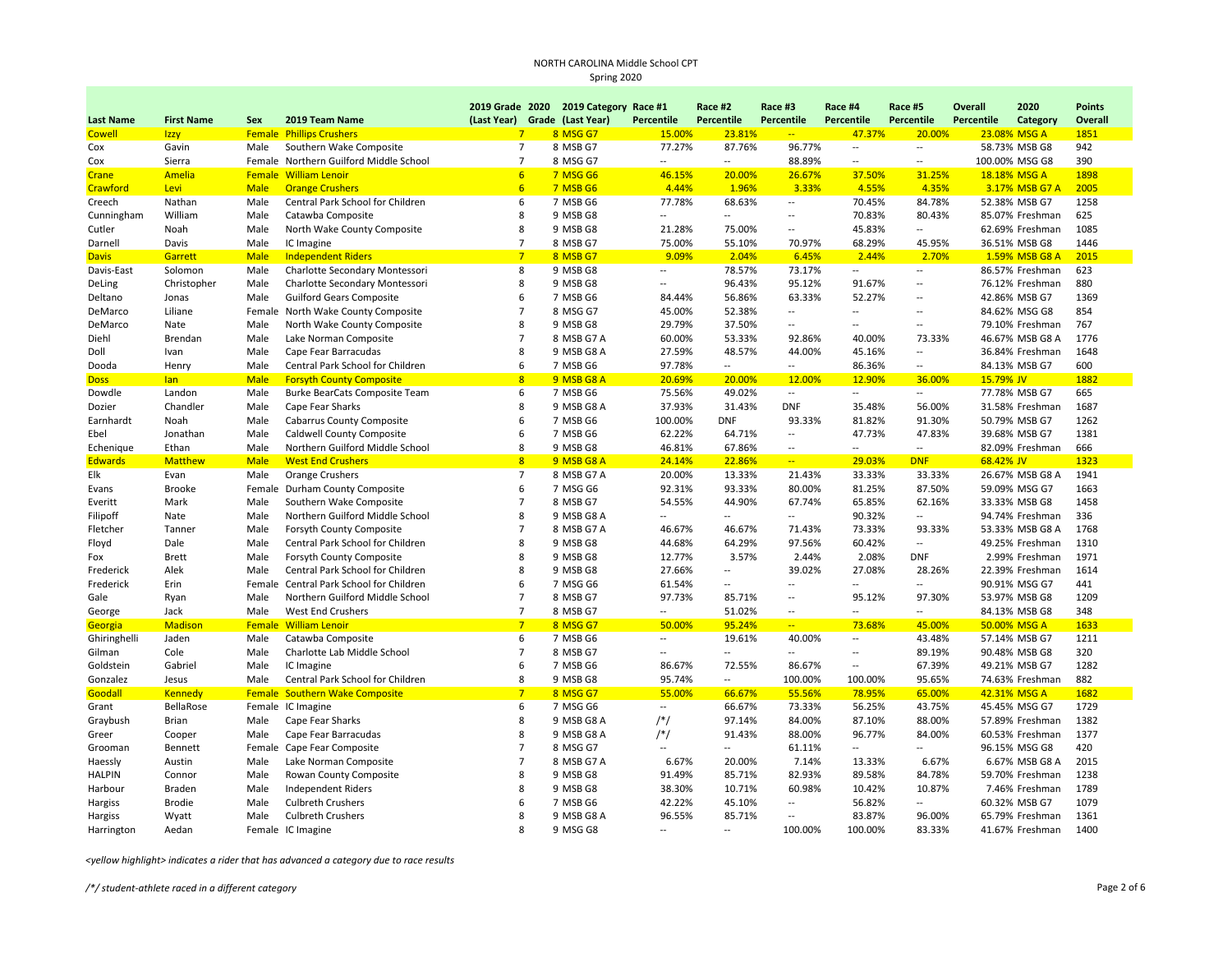|                  |                   |             |                                         |                | 2019 Grade 2020 2019 Category Race #1 |                          | Race #2                  | Race #3                  | Race #4                  | Race #5                  | Overall           | 2020            | <b>Points</b> |
|------------------|-------------------|-------------|-----------------------------------------|----------------|---------------------------------------|--------------------------|--------------------------|--------------------------|--------------------------|--------------------------|-------------------|-----------------|---------------|
| <b>Last Name</b> | <b>First Name</b> | Sex         | 2019 Team Name                          |                | (Last Year) Grade (Last Year)         | Percentile               | Percentile               | Percentile               | Percentile               | Percentile               | <b>Percentile</b> | Category        | Overall       |
| <b>Cowell</b>    | <b>Izzy</b>       |             | <b>Female Phillips Crushers</b>         | $7^{\circ}$    | 8 MSG G7                              | 15.00%                   | 23.81%                   | $\frac{1}{2}$            | 47.37%                   | 20.00%                   | 23.08% MSG A      |                 | 1851          |
| Cox              | Gavin             | Male        | Southern Wake Composite                 | $\overline{7}$ | 8 MSB G7                              | 77.27%                   | 87.76%                   | 96.77%                   | $\overline{\phantom{a}}$ | $\overline{\phantom{a}}$ |                   | 58.73% MSB G8   | 942           |
| Cox              | Sierra            |             | Female Northern Guilford Middle School  | $\overline{7}$ | 8 MSG G7                              |                          | $\overline{\phantom{a}}$ | 88.89%                   | $\overline{\phantom{a}}$ | $\overline{\phantom{a}}$ |                   | 100.00% MSG G8  | 390           |
| Crane            | Amelia            |             | <b>Female William Lenoir</b>            | 6              | <b>7 MSG G6</b>                       | 46.15%                   | 20.00%                   | 26.67%                   | 37.50%                   | 31.25%                   | 18.18% MSG A      |                 | 1898          |
| Crawford         | Levi              | <b>Male</b> | <b>Orange Crushers</b>                  | 6              | <b>7 MSB G6</b>                       | 4.44%                    | 1.96%                    | 3.33%                    | 4.55%                    | 4.35%                    |                   | 3.17% MSB G7 A  | 2005          |
| Creech           | Nathan            | Male        | Central Park School for Children        | 6              | 7 MSB G6                              | 77.78%                   | 68.63%                   | $\overline{a}$           | 70.45%                   | 84.78%                   |                   | 52.38% MSB G7   | 1258          |
| Cunningham       | William           | Male        | Catawba Composite                       | 8              | 9 MSB G8                              | $\overline{\phantom{a}}$ | $\overline{\phantom{a}}$ | $\overline{\phantom{a}}$ | 70.83%                   | 80.43%                   |                   | 85.07% Freshman | 625           |
| Cutler           | Noah              | Male        | North Wake County Composite             | 8              | 9 MSB G8                              | 21.28%                   | 75.00%                   | $\overline{a}$           | 45.83%                   | $\overline{a}$           |                   | 62.69% Freshman | 1085          |
| Darnell          | Davis             | Male        | IC Imagine                              | $\overline{7}$ | 8 MSB G7                              | 75.00%                   | 55.10%                   | 70.97%                   | 68.29%                   | 45.95%                   |                   | 36.51% MSB G8   | 1446          |
| <b>Davis</b>     | Garrett           | Male        | <b>Independent Riders</b>               | $7\overline{}$ | 8 MSB G7                              | 9.09%                    | 2.04%                    | 6.45%                    | 2.44%                    | 2.70%                    |                   | 1.59% MSB G8 A  | 2015          |
| Davis-East       | Solomon           | Male        | Charlotte Secondary Montessori          | 8              | 9 MSB G8                              | $\overline{\phantom{a}}$ | 78.57%                   | 73.17%                   | $\qquad \qquad -$        | $\overline{\phantom{a}}$ |                   | 86.57% Freshman | 623           |
| DeLing           | Christopher       | Male        | Charlotte Secondary Montessori          | 8              | 9 MSB G8                              | $\overline{\phantom{a}}$ | 96.43%                   | 95.12%                   | 91.67%                   | $\overline{a}$           |                   | 76.12% Freshman | 880           |
| Deltano          | Jonas             | Male        | <b>Guilford Gears Composite</b>         | 6              | 7 MSB G6                              | 84.44%                   | 56.86%                   | 63.33%                   | 52.27%                   | $\overline{a}$           |                   | 42.86% MSB G7   | 1369          |
| DeMarco          | Liliane           |             | Female North Wake County Composite      | $\overline{7}$ | 8 MSG G7                              | 45.00%                   | 52.38%                   | $\sim$                   | $\sim$                   | $\overline{\phantom{a}}$ |                   | 84.62% MSG G8   | 854           |
| DeMarco          | Nate              | Male        | North Wake County Composite             | 8              | 9 MSB G8                              | 29.79%                   | 37.50%                   | $\overline{\phantom{a}}$ | $\overline{\phantom{a}}$ | $\overline{\phantom{a}}$ |                   | 79.10% Freshman | 767           |
| Diehl            | Brendan           | Male        | Lake Norman Composite                   | $\overline{7}$ | 8 MSB G7 A                            | 60.00%                   | 53.33%                   | 92.86%                   | 40.00%                   | 73.33%                   |                   | 46.67% MSB G8 A | 1776          |
| Doll             | Ivan              | Male        | Cape Fear Barracudas                    | 8              | 9 MSB G8 A                            | 27.59%                   | 48.57%                   | 44.00%                   | 45.16%                   | $\overline{\phantom{a}}$ |                   | 36.84% Freshman | 1648          |
| Dooda            | Henry             | Male        | Central Park School for Children        | 6              | 7 MSB G6                              | 97.78%                   | $\sim$                   | $\overline{\phantom{a}}$ | 86.36%                   | $\overline{\phantom{a}}$ |                   | 84.13% MSB G7   | 600           |
| <b>Doss</b>      | lan               | <b>Male</b> | <b>Forsyth County Composite</b>         | 8              | 9 MSB G8 A                            | 20.69%                   | 20.00%                   | 12.00%                   | 12.90%                   | 36.00%                   | 15.79% JV         |                 | 1882          |
| Dowdle           | Landon            | Male        | <b>Burke BearCats Composite Team</b>    | 6              | 7 MSB G6                              | 75.56%                   | 49.02%                   | $\overline{a}$           | $\sim$                   | $\overline{\phantom{a}}$ |                   | 77.78% MSB G7   | 665           |
| Dozier           | Chandler          | Male        | Cape Fear Sharks                        | 8              | 9 MSB G8 A                            | 37.93%                   | 31.43%                   | <b>DNF</b>               | 35.48%                   | 56.00%                   |                   | 31.58% Freshman | 1687          |
| Earnhardt        | Noah              | Male        | <b>Cabarrus County Composite</b>        | 6              | 7 MSB G6                              | 100.00%                  | <b>DNF</b>               | 93.33%                   | 81.82%                   | 91.30%                   |                   | 50.79% MSB G7   | 1262          |
| Ebel             | Jonathan          | Male        | Caldwell County Composite               | 6              | 7 MSB G6                              | 62.22%                   | 64.71%                   | $\overline{a}$           | 47.73%                   | 47.83%                   |                   | 39.68% MSB G7   | 1381          |
| Echenique        | Ethan             | Male        | Northern Guilford Middle School         | 8              | 9 MSB G8                              | 46.81%                   | 67.86%                   | $\overline{\phantom{a}}$ | $\overline{\phantom{a}}$ | $\overline{\phantom{a}}$ |                   | 82.09% Freshman | 666           |
| <b>Edwards</b>   | <b>Matthew</b>    | <b>Male</b> | <b>West End Crushers</b>                | 8              | 9 MSB G8 A                            | 24.14%                   | 22.86%                   | $\overline{a}$           | 29.03%                   | <b>DNF</b>               | 68.42% JV         |                 | 1323          |
| Elk              | Evan              | Male        | <b>Orange Crushers</b>                  | $\overline{7}$ | 8 MSB G7 A                            | 20.00%                   | 13.33%                   | 21.43%                   | 33.33%                   | 33.33%                   |                   | 26.67% MSB G8 A | 1941          |
| Evans            | <b>Brooke</b>     |             | Female Durham County Composite          | 6              | 7 MSG G6                              | 92.31%                   | 93.33%                   | 80.00%                   | 81.25%                   | 87.50%                   |                   | 59.09% MSG G7   | 1663          |
| Everitt          | Mark              | Male        | Southern Wake Composite                 | $\overline{7}$ | 8 MSB G7                              | 54.55%                   | 44.90%                   | 67.74%                   | 65.85%                   | 62.16%                   |                   | 33.33% MSB G8   | 1458          |
| Filipoff         | Nate              | Male        | Northern Guilford Middle School         | 8              | 9 MSB G8 A                            | $\overline{\phantom{a}}$ |                          | Щ.                       | 90.32%                   | $\overline{\phantom{a}}$ |                   | 94.74% Freshman | 336           |
| Fletcher         | Tanner            | Male        | Forsyth County Composite                | $\overline{7}$ | 8 MSB G7 A                            | 46.67%                   | 46.67%                   | 71.43%                   | 73.33%                   | 93.33%                   |                   | 53.33% MSB G8 A | 1768          |
| Floyd            | Dale              | Male        | Central Park School for Children        | 8              | 9 MSB G8                              | 44.68%                   | 64.29%                   | 97.56%                   | 60.42%                   | $\overline{\phantom{a}}$ |                   | 49.25% Freshman | 1310          |
| Fox              | <b>Brett</b>      | Male        | Forsyth County Composite                | 8              | 9 MSB G8                              | 12.77%                   | 3.57%                    | 2.44%                    | 2.08%                    | <b>DNF</b>               |                   | 2.99% Freshman  | 1971          |
| Frederick        | Alek              | Male        | Central Park School for Children        | 8              | 9 MSB G8                              | 27.66%                   | $\overline{\phantom{a}}$ | 39.02%                   | 27.08%                   | 28.26%                   |                   | 22.39% Freshman | 1614          |
| Frederick        | Erin              |             | Female Central Park School for Children | 6              | 7 MSG G6                              | 61.54%                   | $\overline{\phantom{a}}$ | Ξ.                       | $\ddotsc$                | $\sim$                   |                   | 90.91% MSG G7   | 441           |
| Gale             | Ryan              | Male        | Northern Guilford Middle School         | $\overline{7}$ | 8 MSB G7                              | 97.73%                   | 85.71%                   | --                       | 95.12%                   | 97.30%                   |                   | 53.97% MSB G8   | 1209          |
| George           | Jack              | Male        | West End Crushers                       | $\overline{7}$ | 8 MSB G7                              | $\sim$                   | 51.02%                   | $\overline{a}$           | $\sim$                   | $\overline{a}$           |                   | 84.13% MSB G8   | 348           |
| Georgia          | <b>Madison</b>    |             | Female William Lenoir                   | 7              | 8 MSG G7                              | 50.00%                   | 95.24%                   | $\overline{\phantom{a}}$ | 73.68%                   | 45.00%                   | 50.00% MSG A      |                 | 1633          |
| Ghiringhelli     | Jaden             | Male        | Catawba Composite                       | 6              | 7 MSB G6                              | $\sim$                   | 19.61%                   | 40.00%                   | $\qquad \qquad -$        | 43.48%                   |                   | 57.14% MSB G7   | 1211          |
| Gilman           | Cole              | Male        | Charlotte Lab Middle School             | $\overline{7}$ | 8 MSB G7                              | $\overline{\phantom{a}}$ | $\overline{\phantom{a}}$ | $\overline{a}$           | $\overline{\phantom{a}}$ | 89.19%                   |                   | 90.48% MSB G8   | 320           |
| Goldstein        | Gabriel           | Male        | IC Imagine                              | 6              | 7 MSB G6                              | 86.67%                   | 72.55%                   | 86.67%                   | $\ddotsc$                | 67.39%                   |                   | 49.21% MSB G7   | 1282          |
| Gonzalez         | Jesus             | Male        | Central Park School for Children        | 8              | 9 MSB G8                              | 95.74%                   | $\overline{a}$           | 100.00%                  | 100.00%                  | 95.65%                   |                   | 74.63% Freshman | 882           |
| Goodall          | <b>Kennedy</b>    |             | <b>Female Southern Wake Composite</b>   | $7\overline{}$ | 8 MSG G7                              | 55.00%                   | 66.67%                   | 55.56%                   | 78.95%                   | 65.00%                   | 42.31% MSG A      |                 | 1682          |
| Grant            | BellaRose         |             | Female IC Imagine                       | 6              | 7 MSG G6                              | $\sim$                   | 66.67%                   | 73.33%                   | 56.25%                   | 43.75%                   |                   | 45.45% MSG G7   | 1729          |
| Graybush         | Brian             | Male        | Cape Fear Sharks                        | 8              | 9 MSB G8 A                            | $/*/$                    | 97.14%                   | 84.00%                   | 87.10%                   | 88.00%                   |                   | 57.89% Freshman | 1382          |
| Greer            | Cooper            | Male        | Cape Fear Barracudas                    | 8              | 9 MSB G8 A                            | $/*/$                    | 91.43%                   | 88.00%                   | 96.77%                   | 84.00%                   |                   | 60.53% Freshman | 1377          |
| Grooman          | Bennett           |             | Female Cape Fear Composite              | $\overline{7}$ | 8 MSG G7                              |                          | $\overline{\phantom{a}}$ | 61.11%                   | $\overline{\phantom{a}}$ | $\overline{a}$           |                   | 96.15% MSG G8   | 420           |
| Haessly          | Austin            | Male        | Lake Norman Composite                   | $\overline{7}$ | 8 MSB G7 A                            | 6.67%                    | 20.00%                   | 7.14%                    | 13.33%                   | 6.67%                    |                   | 6.67% MSB G8 A  | 2015          |
| <b>HALPIN</b>    | Connor            | Male        | Rowan County Composite                  | 8              | 9 MSB G8                              | 91.49%                   | 85.71%                   | 82.93%                   | 89.58%                   | 84.78%                   |                   | 59.70% Freshman | 1238          |
| Harbour          | Braden            | Male        | <b>Independent Riders</b>               | 8              | 9 MSB G8                              | 38.30%                   | 10.71%                   | 60.98%                   | 10.42%                   | 10.87%                   |                   | 7.46% Freshman  | 1789          |
| Hargiss          | Brodie            | Male        | <b>Culbreth Crushers</b>                | 6              | 7 MSB G6                              | 42.22%                   | 45.10%                   | Ξ.                       | 56.82%                   | $\overline{\phantom{a}}$ |                   | 60.32% MSB G7   | 1079          |
| Hargiss          | Wyatt             | Male        | <b>Culbreth Crushers</b>                | 8              | 9 MSB G8 A                            | 96.55%                   | 85.71%                   | Ξ.                       | 83.87%                   | 96.00%                   |                   | 65.79% Freshman | 1361          |
| Harrington       | Aedan             |             | Female IC Imagine                       | 8              | 9 MSG G8                              | $\sim$                   | $\sim$                   | 100.00%                  | 100.00%                  | 83.33%                   |                   | 41.67% Freshman | 1400          |

*<yellow highlight> indicates a rider that has advanced a category due to race results*

/\*/ student-athlete raced in a different category **Page 2** of 6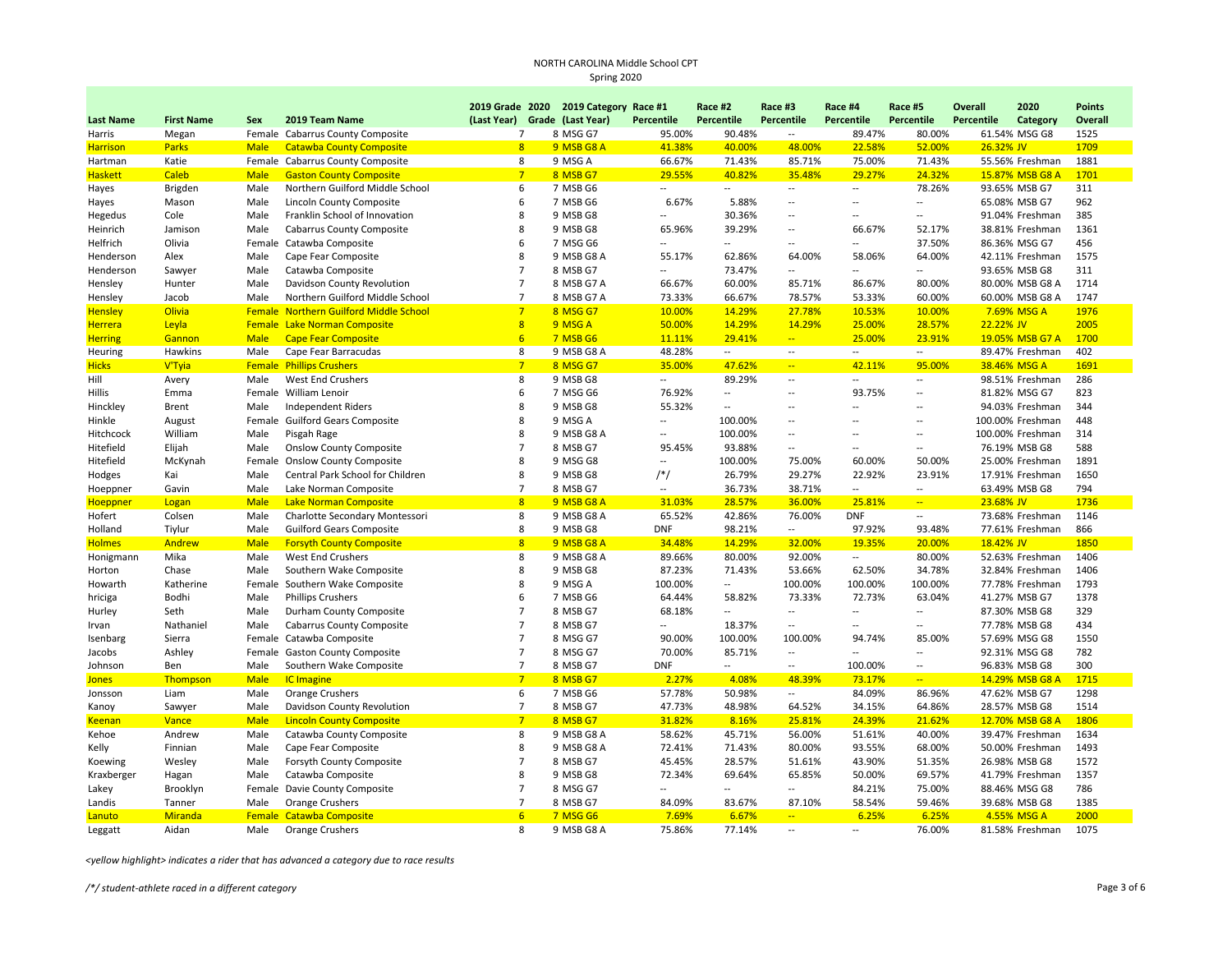|                  |                   |             |                                               | 2019 Grade 2020 2019 Category Race #1 |                 |                          | Race #2              | Race #3                  | Race #4                  | Race #5                  | <b>Overall</b> | 2020             | <b>Points</b> |
|------------------|-------------------|-------------|-----------------------------------------------|---------------------------------------|-----------------|--------------------------|----------------------|--------------------------|--------------------------|--------------------------|----------------|------------------|---------------|
| <b>Last Name</b> | <b>First Name</b> | Sex         | 2019 Team Name                                | (Last Year) Grade (Last Year)         |                 | Percentile               | Percentile           | Percentile               | Percentile               | Percentile               | Percentile     | <b>Category</b>  | Overall       |
| Harris           | Megan             |             | Female Cabarrus County Composite              | $\overline{7}$                        | 8 MSG G7        | 95.00%                   | 90.48%               | $\qquad \qquad \cdots$   | 89.47%                   | 80.00%                   |                | 61.54% MSG G8    | 1525          |
| <b>Harrison</b>  | <b>Parks</b>      | <b>Male</b> | <b>Catawba County Composite</b>               | 8                                     | 9 MSB G8 A      | 41.38%                   | 40.00%               | 48.00%                   | 22.58%                   | 52.00%                   | 26.32% JV      |                  | 1709          |
| Hartman          | Katie             |             | Female Cabarrus County Composite              | 8                                     | 9 MSG A         | 66.67%                   | 71.43%               | 85.71%                   | 75.00%                   | 71.43%                   |                | 55.56% Freshman  | 1881          |
| <b>Haskett</b>   | <b>Caleb</b>      | <b>Male</b> | <b>Gaston County Composite</b>                | 7                                     | 8 MSB G7        | 29.55%                   | 40.82%               | 35.48%                   | 29.27%                   | 24.32%                   |                | 15.87% MSB G8 A  | 1701          |
| Hayes            | Brigden           | Male        | Northern Guilford Middle School               | 6                                     | 7 MSB G6        | $\overline{a}$           | $\sim$               | $\overline{\phantom{a}}$ | $\overline{\phantom{a}}$ | 78.26%                   |                | 93.65% MSB G7    | 311           |
| Hayes            | Mason             | Male        | Lincoln County Composite                      | 6                                     | 7 MSB G6        | 6.67%                    | 5.88%                | $\overline{a}$           | $\overline{a}$           | $\overline{a}$           |                | 65.08% MSB G7    | 962           |
| Hegedus          | Cole              | Male        | Franklin School of Innovation                 | 8                                     | 9 MSB G8        | Щ.                       | 30.36%               | $\overline{\phantom{a}}$ | $\overline{a}$           | $\ddot{\phantom{a}}$     |                | 91.04% Freshman  | 385           |
| Heinrich         | Jamison           | Male        | <b>Cabarrus County Composite</b>              | 8                                     | 9 MSB G8        | 65.96%                   | 39.29%               | $\overline{\phantom{a}}$ | 66.67%                   | 52.17%                   |                | 38.81% Freshman  | 1361          |
| Helfrich         | Olivia            |             | Female Catawba Composite                      | 6                                     | 7 MSG G6        | $\overline{a}$           | $\overline{a}$       | $\overline{\phantom{a}}$ | Щ.                       | 37.50%                   |                | 86.36% MSG G7    | 456           |
| Henderson        | Alex              | Male        | Cape Fear Composite                           | 8                                     | 9 MSB G8 A      | 55.17%                   | 62.86%               | 64.00%                   | 58.06%                   | 64.00%                   |                | 42.11% Freshman  | 1575          |
| Henderson        | Sawyer            | Male        | Catawba Composite                             | $\overline{7}$                        | 8 MSB G7        | $\overline{a}$           | 73.47%               |                          | $\overline{a}$           |                          |                | 93.65% MSB G8    | 311           |
| Hensley          | Hunter            | Male        | Davidson County Revolution                    | $\overline{7}$                        | 8 MSB G7 A      | 66.67%                   | 60.00%               | 85.71%                   | 86.67%                   | 80.00%                   |                | 80.00% MSB G8 A  | 1714          |
| Hensley          | Jacob             | Male        | Northern Guilford Middle School               | $\overline{7}$                        | 8 MSB G7 A      | 73.33%                   | 66.67%               | 78.57%                   | 53.33%                   | 60.00%                   |                | 60.00% MSB G8 A  | 1747          |
| <b>Hensley</b>   | <b>Olivia</b>     |             | <b>Female Northern Guilford Middle School</b> | 7                                     | 8 MSG G7        | 10.00%                   | 14.29%               | 27.78%                   | 10.53%                   | 10.00%                   |                | 7.69% MSG A      | 1976          |
| <b>Herrera</b>   | Leyla             |             | <b>Female Lake Norman Composite</b>           | $\overline{8}$                        | 9 MSG A         | 50.00%                   | 14.29%               | 14.29%                   | 25.00%                   | 28.57%                   | 22.22% JV      |                  | 2005          |
| <b>Herring</b>   | Gannon            | <b>Male</b> | <b>Cape Fear Composite</b>                    | 6                                     | 7 MSB G6        | 11.11%                   | 29.41%               | $\frac{1}{2}$            | 25.00%                   | 23.91%                   |                | 19.05% MSB G7 A  | 1700          |
| Heuring          | Hawkins           | Male        | Cape Fear Barracudas                          | 8                                     | 9 MSB G8 A      | 48.28%                   | $\sim$               | $\sim$                   | $\overline{a}$           | $\overline{a}$           |                | 89.47% Freshman  | 402           |
| <b>Hicks</b>     | V'Tyia            |             | <b>Female Phillips Crushers</b>               | $7\overline{}$                        | 8 MSG G7        | 35.00%                   | 47.62%               | $\frac{1}{2}$            | 42.11%                   | 95.00%                   |                | 38.46% MSG A     | 1691          |
| Hill             | Avery             | Male        | West End Crushers                             | 8                                     | 9 MSB G8        | $\overline{\phantom{a}}$ | 89.29%               | $\overline{\phantom{a}}$ | $\overline{\phantom{a}}$ | $\overline{\phantom{a}}$ |                | 98.51% Freshman  | 286           |
| Hillis           | Emma              |             | Female William Lenoir                         | 6                                     | 7 MSG G6        | 76.92%                   | $\sim$               | $\overline{a}$           | 93.75%                   | $\overline{a}$           |                | 81.82% MSG G7    | 823           |
| Hinckley         | Brent             | Male        | <b>Independent Riders</b>                     | 8                                     | 9 MSB G8        | 55.32%                   | $\ddot{\phantom{a}}$ | $\overline{\phantom{a}}$ | Ξ.                       | $\ddot{\phantom{a}}$     |                | 94.03% Freshman  | 344           |
| Hinkle           | August            |             | Female Guilford Gears Composite               | 8                                     | 9 MSG A         | $\overline{a}$           | 100.00%              | $\overline{a}$           | $\overline{a}$           | $\sim$                   |                | 100.00% Freshman | 448           |
| Hitchcock        | William           | Male        | Pisgah Rage                                   | 8                                     | 9 MSB G8 A      | --                       | 100.00%              | $\overline{\phantom{a}}$ | $\overline{a}$           | $\overline{\phantom{a}}$ |                | 100.00% Freshman | 314           |
| Hitefield        | Elijah            | Male        | <b>Onslow County Composite</b>                | $\overline{7}$                        | 8 MSB G7        | 95.45%                   | 93.88%               | $\sim$                   | $\overline{a}$           | $\overline{\phantom{a}}$ |                | 76.19% MSB G8    | 588           |
| Hitefield        | McKynah           |             | Female Onslow County Composite                | 8                                     | 9 MSG G8        | $\overline{\phantom{a}}$ | 100.00%              | 75.00%                   | 60.00%                   | 50.00%                   |                | 25.00% Freshman  | 1891          |
| Hodges           | Kai               | Male        | Central Park School for Children              | 8                                     | 9 MSB G8        | $/*/$                    | 26.79%               | 29.27%                   | 22.92%                   | 23.91%                   |                | 17.91% Freshman  | 1650          |
| Hoeppner         | Gavin             | Male        | Lake Norman Composite                         | $\overline{7}$                        | 8 MSB G7        | $\overline{\phantom{a}}$ | 36.73%               | 38.71%                   | $\overline{a}$           | $\overline{\phantom{a}}$ |                | 63.49% MSB G8    | 794           |
| <b>Hoeppner</b>  | Logan             | <b>Male</b> | <b>Lake Norman Composite</b>                  | 8                                     | 9 MSB G8 A      | 31.03%                   | 28.57%               | 36.00%                   | 25.81%                   | $\Box$                   | 23.68% JV      |                  | 1736          |
| Hofert           | Colsen            | Male        | Charlotte Secondary Montessori                | 8                                     | 9 MSB G8 A      | 65.52%                   | 42.86%               | 76.00%                   | <b>DNF</b>               | $\overline{\phantom{a}}$ |                | 73.68% Freshman  | 1146          |
| Holland          | Tiylur            | Male        | <b>Guilford Gears Composite</b>               | 8                                     | 9 MSB G8        | <b>DNF</b>               | 98.21%               | $\overline{\phantom{a}}$ | 97.92%                   | 93.48%                   |                | 77.61% Freshman  | 866           |
| <b>Holmes</b>    | Andrew            | <b>Male</b> | <b>Forsyth County Composite</b>               | 8                                     | 9 MSB G8 A      | 34.48%                   | 14.29%               | 32.00%                   | 19.35%                   | 20.00%                   | 18.42% JV      |                  | 1850          |
| Honigmann        | Mika              | Male        | West End Crushers                             | 8                                     | 9 MSB G8 A      | 89.66%                   | 80.00%               | 92.00%                   | $\overline{\phantom{a}}$ | 80.00%                   |                | 52.63% Freshman  | 1406          |
| Horton           | Chase             | Male        | Southern Wake Composite                       | 8                                     | 9 MSB G8        | 87.23%                   | 71.43%               | 53.66%                   | 62.50%                   | 34.78%                   |                | 32.84% Freshman  | 1406          |
| Howarth          | Katherine         |             | Female Southern Wake Composite                | 8                                     | 9 MSG A         | 100.00%                  | $\overline{a}$       | 100.00%                  | 100.00%                  | 100.00%                  |                | 77.78% Freshman  | 1793          |
| hriciga          | Bodhi             | Male        | <b>Phillips Crushers</b>                      | 6                                     | 7 MSB G6        | 64.44%                   | 58.82%               | 73.33%                   | 72.73%                   | 63.04%                   |                | 41.27% MSB G7    | 1378          |
| Hurley           | Seth              | Male        | Durham County Composite                       | $\overline{7}$                        | 8 MSB G7        | 68.18%                   | $\sim$               | $\sim$                   | $\overline{a}$           | $\overline{\phantom{a}}$ |                | 87.30% MSB G8    | 329           |
| Irvan            | Nathaniel         | Male        | <b>Cabarrus County Composite</b>              | $\overline{7}$                        | 8 MSB G7        | --                       | 18.37%               | $\overline{\phantom{m}}$ | $\overline{a}$           | $\overline{a}$           |                | 77.78% MSB G8    | 434           |
| Isenbarg         | Sierra            |             | Female Catawba Composite                      | $\overline{7}$                        | 8 MSG G7        | 90.00%                   | 100.00%              | 100.00%                  | 94.74%                   | 85.00%                   |                | 57.69% MSG G8    | 1550          |
| Jacobs           | Ashley            |             | Female Gaston County Composite                | $\overline{7}$                        | 8 MSG G7        | 70.00%                   | 85.71%               | $\overline{\phantom{a}}$ | $\overline{\phantom{a}}$ | $\overline{a}$           |                | 92.31% MSG G8    | 782           |
| Johnson          | Ben               | Male        | Southern Wake Composite                       | $\overline{7}$                        | 8 MSB G7        | <b>DNF</b>               | $\overline{a}$       | $\sim$                   | 100.00%                  | $\ddot{\phantom{a}}$     |                | 96.83% MSB G8    | 300           |
| <b>Jones</b>     | Thompson          | <b>Male</b> | <b>IC Imagine</b>                             | 7                                     | 8 MSB G7        | 2.27%                    | 4.08%                | 48.39%                   | 73.17%                   | ÷.                       |                | 14.29% MSB G8 A  | 1715          |
| Jonsson          | Liam              | Male        | <b>Orange Crushers</b>                        | 6                                     | 7 MSB G6        | 57.78%                   | 50.98%               | $\overline{\phantom{a}}$ | 84.09%                   | 86.96%                   |                | 47.62% MSB G7    | 1298          |
| Kanoy            | Sawyer            | Male        | Davidson County Revolution                    | $\overline{7}$                        | 8 MSB G7        | 47.73%                   | 48.98%               | 64.52%                   | 34.15%                   | 64.86%                   |                | 28.57% MSB G8    | 1514          |
| <u>Keenan</u>    | Vance             | <b>Male</b> | <b>Lincoln County Composite</b>               | $\overline{7}$                        | 8 MSB G7        | 31.82%                   | 8.16%                | 25.81%                   | 24.39%                   | 21.62%                   |                | 12.70% MSB G8 A  | 1806          |
| Kehoe            | Andrew            | Male        | Catawba County Composite                      | 8                                     | 9 MSB G8 A      | 58.62%                   | 45.71%               | 56.00%                   | 51.61%                   | 40.00%                   |                | 39.47% Freshman  | 1634          |
| Kelly            | Finnian           | Male        | Cape Fear Composite                           | 8                                     | 9 MSB G8 A      | 72.41%                   | 71.43%               | 80.00%                   | 93.55%                   | 68.00%                   |                | 50.00% Freshman  | 1493          |
| Koewing          | Wesley            | Male        | Forsyth County Composite                      | $\overline{7}$                        | 8 MSB G7        | 45.45%                   | 28.57%               | 51.61%                   | 43.90%                   | 51.35%                   |                | 26.98% MSB G8    | 1572          |
| Kraxberger       | Hagan             | Male        | Catawba Composite                             | 8                                     | 9 MSB G8        | 72.34%                   | 69.64%               | 65.85%                   | 50.00%                   | 69.57%                   |                | 41.79% Freshman  | 1357          |
| Lakey            | Brooklyn          |             | Female Davie County Composite                 | $\overline{7}$                        | 8 MSG G7        | --                       | $\overline{a}$       | $\sim$                   | 84.21%                   | 75.00%                   |                | 88.46% MSG G8    | 786           |
| Landis           | Tanner            | Male        | Orange Crushers                               | $\overline{7}$                        | 8 MSB G7        | 84.09%                   | 83.67%               | 87.10%                   | 58.54%                   | 59.46%                   |                | 39.68% MSB G8    | 1385          |
| Lanuto           | <b>Miranda</b>    |             | Female Catawba Composite                      | 6                                     | <b>7 MSG G6</b> | 7.69%                    | 6.67%                | $\mathbb{Z}^2$           | 6.25%                    | 6.25%                    |                | 4.55% MSG A      | 2000          |
| Leggatt          | Aidan             | Male        | Orange Crushers                               | 8                                     | 9 MSB G8 A      | 75.86%                   | 77.14%               | $\overline{\phantom{a}}$ | $\overline{a}$           | 76.00%                   |                | 81.58% Freshman  | 1075          |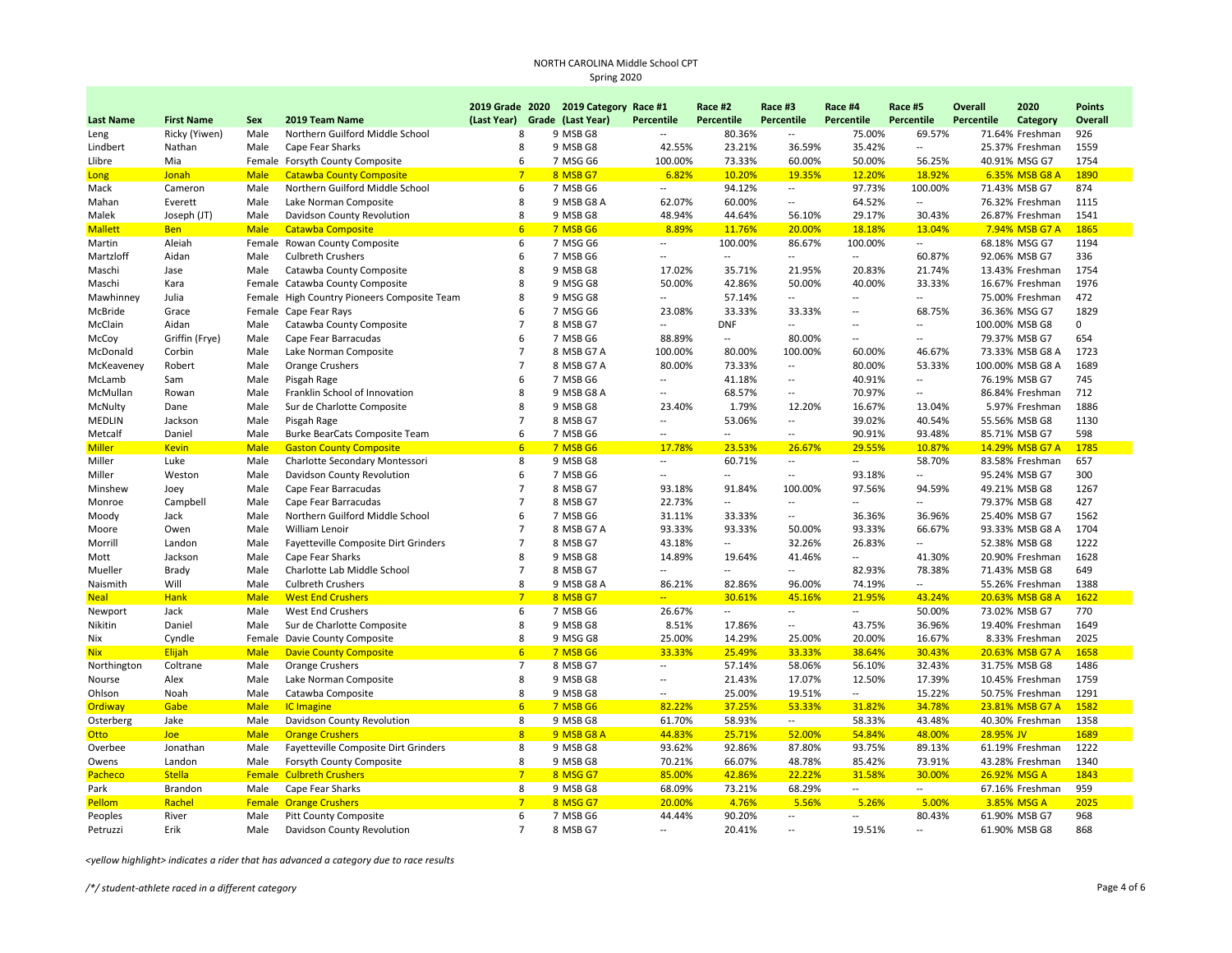|                       |                   |             |                                                               |                | 2019 Grade 2020 2019 Category Race #1 |                          | Race #2                  | Race #3                  | Race #4                  | Race #5                  | <b>Overall</b> | 2020                           | <b>Points</b> |
|-----------------------|-------------------|-------------|---------------------------------------------------------------|----------------|---------------------------------------|--------------------------|--------------------------|--------------------------|--------------------------|--------------------------|----------------|--------------------------------|---------------|
| <b>Last Name</b>      | <b>First Name</b> | <b>Sex</b>  | 2019 Team Name                                                | (Last Year)    | Grade (Last Year)                     | Percentile               | Percentile               | Percentile               | Percentile               | Percentile               | Percentile     | Category                       | Overall       |
| Leng                  | Ricky (Yiwen)     | Male        | Northern Guilford Middle School                               | 8              | 9 MSB G8                              | $\overline{a}$           | 80.36%                   | $\sim$                   | 75.00%                   | 69.57%                   |                | 71.64% Freshman                | 926           |
| Lindbert              | Nathan            | Male        | Cape Fear Sharks                                              | 8              | 9 MSB G8                              | 42.55%                   | 23.21%                   | 36.59%                   | 35.42%                   | $\overline{a}$           |                | 25.37% Freshman                | 1559          |
| Llibre                | Mia               |             | Female Forsyth County Composite                               | 6              | 7 MSG G6                              | 100.00%                  | 73.33%                   | 60.00%                   | 50.00%                   | 56.25%                   |                | 40.91% MSG G7                  | 1754          |
| Long                  | Jonah             | <b>Male</b> | <b>Catawba County Composite</b>                               | $\overline{7}$ | 8 MSB G7                              | 6.82%                    | 10.20%                   | 19.35%                   | 12.20%                   | 18.92%                   |                | 6.35% MSB G8 A                 | 1890          |
| Mack                  | Cameron           | Male        | Northern Guilford Middle School                               | 6              | 7 MSB G6                              | $\sim$                   | 94.12%                   | $\sim$                   | 97.73%                   | 100.00%                  |                | 71.43% MSB G7                  | 874           |
| Mahan                 | Everett           | Male        | Lake Norman Composite                                         | 8              | 9 MSB G8 A                            | 62.07%                   | 60.00%                   | $\sim$                   | 64.52%                   | $\overline{a}$           |                | 76.32% Freshman                | 1115          |
| Malek                 | Joseph (JT)       | Male        | Davidson County Revolution                                    | 8              | 9 MSB G8                              | 48.94%                   | 44.64%                   | 56.10%                   | 29.17%                   | 30.43%                   |                | 26.87% Freshman                | 1541          |
| <b>Mallett</b>        | <b>Ben</b>        | <b>Male</b> | <b>Catawba Composite</b>                                      | 6              | 7 MSB G6                              | 8.89%                    | 11.76%                   | 20.00%                   | 18.18%                   | 13.04%                   |                | 7.94% MSB G7 A                 | 1865          |
| Martin                | Aleiah            |             | Female Rowan County Composite                                 | 6              | 7 MSG G6                              | $\sim$                   | 100.00%                  | 86.67%                   | 100.00%                  | $\overline{\phantom{a}}$ |                | 68.18% MSG G7                  | 1194          |
| Martzloff             | Aidan             | Male        | <b>Culbreth Crushers</b>                                      | 6              | 7 MSB G6                              | Ξ.                       | $\overline{\phantom{a}}$ | $\overline{a}$           | $\overline{\phantom{a}}$ | 60.87%                   |                | 92.06% MSB G7                  | 336           |
| Maschi                | Jase              | Male        | Catawba County Composite                                      | 8              | 9 MSB G8                              | 17.02%                   | 35.71%                   | 21.95%                   | 20.83%                   | 21.74%                   |                | 13.43% Freshman                | 1754          |
| Maschi                | Kara              |             | Female Catawba County Composite                               | 8              | 9 MSG G8                              | 50.00%                   | 42.86%                   | 50.00%                   | 40.00%                   | 33.33%                   |                | 16.67% Freshman                | 1976          |
| Mawhinney             | Julia             |             | Female High Country Pioneers Composite Team                   | 8              | 9 MSG G8                              | $\overline{a}$           | 57.14%                   | $\overline{a}$           | Ξ.                       | $\overline{a}$           |                | 75.00% Freshman                | 472           |
| McBride               | Grace             |             | Female Cape Fear Rays                                         | 6              | 7 MSG G6                              | 23.08%                   | 33.33%                   | 33.33%                   | --                       | 68.75%                   |                | 36.36% MSG G7                  | 1829          |
| McClain               | Aidan             | Male        | Catawba County Composite                                      | $\overline{7}$ | 8 MSB G7                              | $\overline{\phantom{a}}$ | <b>DNF</b>               | $\sim$                   | $\overline{a}$           | $\overline{a}$           |                | 100.00% MSB G8                 | $\mathbf 0$   |
| McCoy                 | Griffin (Frye)    | Male        | Cape Fear Barracudas                                          | 6              | 7 MSB G6                              | 88.89%                   | $\overline{a}$           | 80.00%                   | $\overline{a}$           | $\overline{\phantom{a}}$ |                | 79.37% MSB G7                  | 654           |
| McDonald              | Corbin            | Male        | Lake Norman Composite                                         | $\overline{7}$ | 8 MSB G7 A                            | 100.00%                  | 80.00%                   | 100.00%                  | 60.00%                   | 46.67%                   |                | 73.33% MSB G8 A                | 1723          |
| McKeaveney            | Robert            | Male        | <b>Orange Crushers</b>                                        | $\overline{7}$ | 8 MSB G7 A                            | 80.00%                   | 73.33%                   | $\sim$                   | 80.00%                   | 53.33%                   |                | 100.00% MSB G8 A               | 1689          |
| McLamb                | Sam               | Male        | Pisgah Rage                                                   | 6              | 7 MSB G6                              | $\overline{a}$           | 41.18%                   | $\overline{\phantom{a}}$ | 40.91%                   | $\overline{a}$           |                | 76.19% MSB G7                  | 745           |
| McMullan              | Rowan             | Male        | Franklin School of Innovation                                 | 8              | 9 MSB G8 A                            | $\overline{a}$           | 68.57%                   | $\sim$                   | 70.97%                   | $\overline{a}$           |                | 86.84% Freshman                | 712           |
| McNulty               | Dane              | Male        | Sur de Charlotte Composite                                    | 8              | 9 MSB G8                              | 23.40%                   | 1.79%                    | 12.20%                   | 16.67%                   | 13.04%                   |                | 5.97% Freshman                 | 1886          |
| MEDLIN                | Jackson           | Male        | Pisgah Rage                                                   | $\overline{7}$ | 8 MSB G7                              | $\overline{a}$           | 53.06%                   | $\sim$                   | 39.02%                   | 40.54%                   |                | 55.56% MSB G8                  | 1130          |
| Metcalf               | Daniel            | Male        | Burke BearCats Composite Team                                 | 6              | 7 MSB G6                              | $\overline{\phantom{a}}$ | $\overline{\phantom{a}}$ | $\sim$                   | 90.91%                   | 93.48%                   |                | 85.71% MSB G7                  | 598           |
| Miller                | <b>Kevin</b>      | <b>Male</b> | <b>Gaston County Composite</b>                                | 6              | 7 MSB G6                              | 17.78%                   | 23.53%                   | 26.67%                   | 29.55%                   | 10.87%                   |                | 14.29% MSB G7 A                | 1785          |
| Miller                | Luke              | Male        | Charlotte Secondary Montessori                                | 8              | 9 MSB G8                              | $\overline{\phantom{a}}$ | 60.71%                   | $\overline{\phantom{a}}$ | $\overline{a}$           | 58.70%                   |                | 83.58% Freshman                | 657           |
| Miller                | Weston            | Male        | Davidson County Revolution                                    | 6              | 7 MSB G6                              | $\overline{\phantom{a}}$ | $\overline{\phantom{a}}$ | $\sim$                   | 93.18%                   | $\overline{a}$           |                | 95.24% MSB G7                  | 300           |
| Minshew               | Joey              | Male        | Cape Fear Barracudas                                          | $\overline{7}$ | 8 MSB G7                              | 93.18%                   | 91.84%                   | 100.00%                  | 97.56%                   | 94.59%                   |                | 49.21% MSB G8                  | 1267          |
| Monroe                | Campbell          | Male        | Cape Fear Barracudas                                          | $\overline{7}$ | 8 MSB G7                              | 22.73%                   | $\overline{\phantom{a}}$ |                          | $\overline{a}$           | $\overline{a}$           |                | 79.37% MSB G8                  | 427           |
| Moody                 | Jack              | Male        | Northern Guilford Middle School                               | 6              | 7 MSB G6                              | 31.11%                   | 33.33%                   | $\overline{\phantom{a}}$ | 36.36%                   | 36.96%                   |                | 25.40% MSB G7                  | 1562          |
| Moore                 | Owen              | Male        | William Lenoir                                                | $\overline{7}$ | 8 MSB G7 A                            | 93.33%                   | 93.33%                   | 50.00%                   | 93.33%                   | 66.67%                   |                | 93.33% MSB G8 A                | 1704          |
| Morrill               | Landon            | Male        | Fayetteville Composite Dirt Grinders                          | $\overline{7}$ | 8 MSB G7                              | 43.18%                   | $\sim$                   | 32.26%                   | 26.83%                   | Ξ.                       |                | 52.38% MSB G8                  | 1222          |
| Mott                  | Jackson           | Male        | Cape Fear Sharks                                              | 8              | 9 MSB G8                              | 14.89%                   | 19.64%                   | 41.46%                   | $\overline{\phantom{a}}$ | 41.30%                   |                | 20.90% Freshman                | 1628          |
| Mueller               | Brady             | Male        | Charlotte Lab Middle School                                   | $\overline{7}$ | 8 MSB G7                              | $\overline{a}$           | $\overline{a}$           | $\overline{a}$           | 82.93%                   | 78.38%                   |                | 71.43% MSB G8                  | 649           |
| Naismith              | Will              | Male        | <b>Culbreth Crushers</b>                                      | 8              | 9 MSB G8 A                            | 86.21%                   | 82.86%                   | 96.00%                   | 74.19%                   | Ξ.                       |                | 55.26% Freshman                | 1388          |
| <b>Neal</b>           | <b>Hank</b>       | <b>Male</b> | <b>West End Crushers</b>                                      | 7              | 8 MSB G7                              | $\overline{a}$           | 30.61%                   | 45.16%                   | 21.95%                   | 43.24%                   |                | 20.63% MSB G8 A                | 1622          |
| Newport               | Jack              | Male        | West End Crushers                                             | 6              | 7 MSB G6                              | 26.67%                   | $\sim$                   | $\overline{\phantom{a}}$ | $\overline{\phantom{a}}$ | 50.00%                   |                | 73.02% MSB G7                  | 770           |
| Nikitin               | Daniel            | Male        | Sur de Charlotte Composite                                    | 8              | 9 MSB G8                              | 8.51%                    | 17.86%                   | $\sim$                   | 43.75%                   | 36.96%                   |                | 19.40% Freshman                | 1649          |
| Nix                   | Cyndle            |             | Female Davie County Composite                                 | 8              | 9 MSG G8                              | 25.00%                   | 14.29%                   | 25.00%                   | 20.00%                   | 16.67%                   |                | 8.33% Freshman                 | 2025          |
| <b>Nix</b>            | Elijah            | <b>Male</b> | <b>Davie County Composite</b>                                 | 6              | 7 MSB G6                              | 33.33%                   | 25.49%                   | 33.33%                   | 38.64%                   | 30.43%                   |                | 20.63% MSB G7 A                | 1658          |
| Northington           | Coltrane          | Male        | <b>Orange Crushers</b>                                        | $\overline{7}$ | 8 MSB G7                              | $\overline{a}$           | 57.14%                   | 58.06%                   | 56.10%                   | 32.43%                   |                | 31.75% MSB G8                  | 1486          |
| Nourse                | Alex              | Male        | Lake Norman Composite                                         | 8              | 9 MSB G8                              | $\overline{\phantom{a}}$ | 21.43%                   | 17.07%                   | 12.50%                   | 17.39%                   |                | 10.45% Freshman                | 1759          |
| Ohlson                | Noah              | Male        | Catawba Composite                                             | 8              | 9 MSB G8                              | $\overline{a}$           | 25.00%                   | 19.51%                   | $\sim$                   | 15.22%                   |                | 50.75% Freshman                | 1291          |
| Ordiway               | Gabe              | <b>Male</b> | <b>IC</b> Imagine                                             | 6 <sup>1</sup> | 7 MSB G6                              | 82.22%                   | 37.25%                   | 53.33%                   | 31.82%                   | 34.78%                   |                | 23.81% MSB G7 A                | 1582          |
| Osterberg             | Jake              | Male        | Davidson County Revolution                                    | 8              | 9 MSB G8                              | 61.70%                   | 58.93%                   | $\sim$                   | 58.33%                   | 43.48%                   |                | 40.30% Freshman                | 1358          |
| Otto                  | <b>Joe</b>        | <b>Male</b> | <b>Orange Crushers</b>                                        | 8              | 9 MSB G8 A                            | 44.83%                   | 25.71%                   | 52.00%                   | 54.84%                   | 48.00%                   | 28.95% JV      |                                | 1689          |
| Overbee               | Jonathan          | Male        | Fayetteville Composite Dirt Grinders                          | 8              | 9 MSB G8                              | 93.62%                   | 92.86%                   | 87.80%                   | 93.75%                   | 89.13%                   |                | 61.19% Freshman                | 1222          |
| Owens                 | Landon            | Male        |                                                               | 8              | 9 MSB G8                              | 70.21%                   | 66.07%                   | 48.78%                   | 85.42%                   | 73.91%                   |                | 43.28% Freshman                | 1340          |
| Pacheco               | <b>Stella</b>     |             | Forsyth County Composite<br><b>Female Culbreth Crushers</b>   | 7              | 8 MSG G7                              |                          | 42.86%                   | 22.22%                   | 31.58%                   | 30.00%                   |                | 26.92% MSG A                   | 1843          |
|                       |                   |             |                                                               | 8              | 9 MSB G8                              | 85.00%<br>68.09%         | 73.21%                   | 68.29%                   | $\overline{a}$           | $\overline{a}$           |                |                                | 959           |
| Park<br><b>Pellom</b> | Brandon<br>Rachel | Male        | Cape Fear Sharks                                              | $7\overline{}$ | 8 MSG G7                              | 20.00%                   | 4.76%                    | 5.56%                    | 5.26%                    | 5.00%                    |                | 67.16% Freshman<br>3.85% MSG A | 2025          |
| Peoples               | River             | Male        | <b>Female Orange Crushers</b><br><b>Pitt County Composite</b> | 6              | 7 MSB G6                              | 44.44%                   | 90.20%                   | $\overline{\phantom{a}}$ | $\overline{a}$           | 80.43%                   |                | 61.90% MSB G7                  | 968           |
| Petruzzi              | Erik              | Male        | Davidson County Revolution                                    | $\overline{7}$ | 8 MSB G7                              | $\overline{a}$           | 20.41%                   | $\overline{a}$           | 19.51%                   | $\overline{a}$           |                | 61.90% MSB G8                  | 868           |
|                       |                   |             |                                                               |                |                                       |                          |                          |                          |                          |                          |                |                                |               |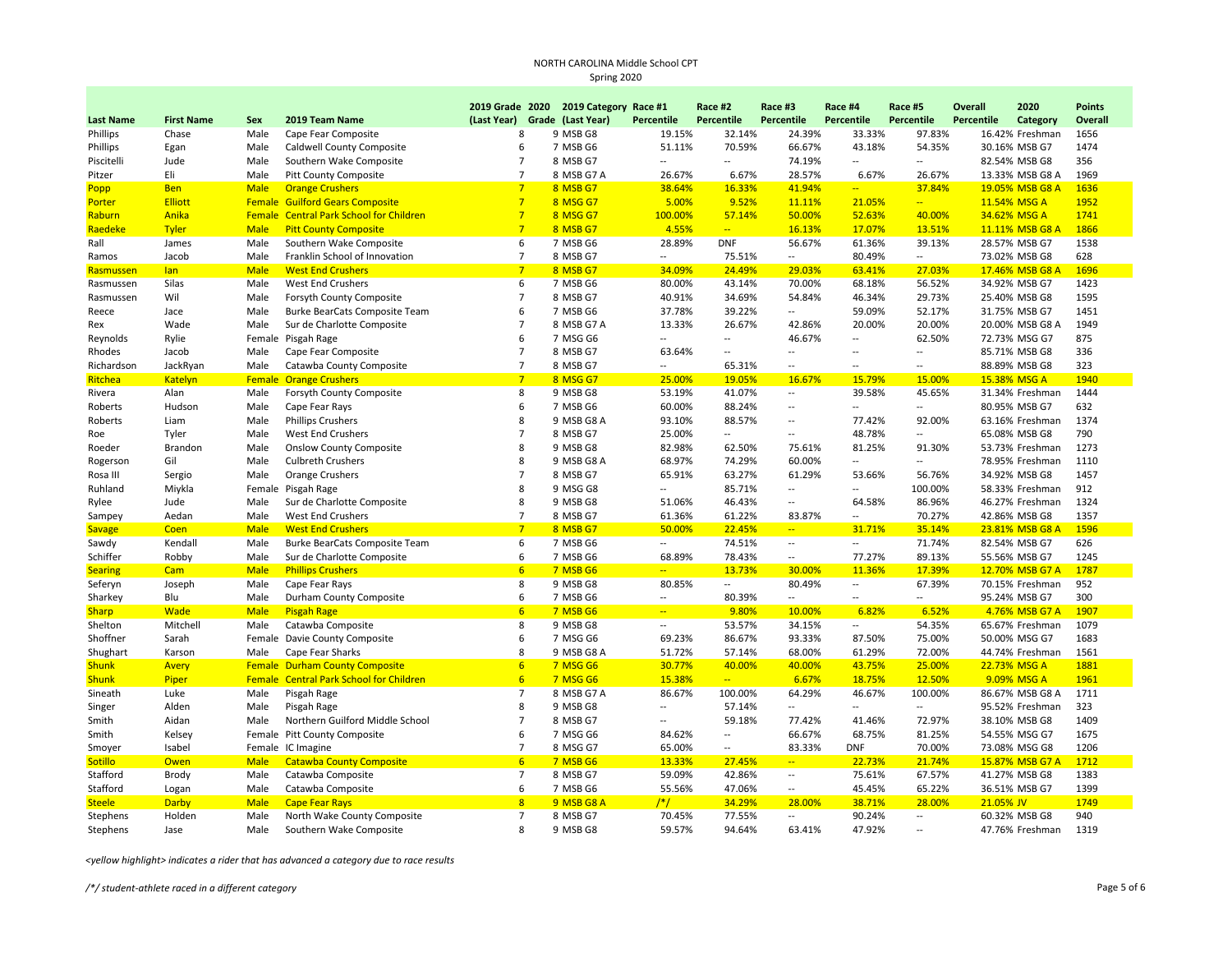|                  |                   |               |                                         |             |                 | 2019 Grade 2020 2019 Category Race #1 |                          | Race #2                  | Race #3                  | Race #4                  | Race #5                  | Overall    | 2020            | <b>Points</b> |
|------------------|-------------------|---------------|-----------------------------------------|-------------|-----------------|---------------------------------------|--------------------------|--------------------------|--------------------------|--------------------------|--------------------------|------------|-----------------|---------------|
| <b>Last Name</b> | <b>First Name</b> | Sex           | 2019 Team Name                          | (Last Year) |                 | Grade (Last Year)                     | Percentile               | Percentile               | Percentile               | Percentile               | Percentile               | Percentile | Category        | Overall       |
| Phillips         | Chase             | Male          | Cape Fear Composite                     |             | 8               | 9 MSB G8                              | 19.15%                   | 32.14%                   | 24.39%                   | 33.33%                   | 97.83%                   |            | 16.42% Freshman | 1656          |
| Phillips         | Egan              | Male          | Caldwell County Composite               |             | 6               | 7 MSB G6                              | 51.11%                   | 70.59%                   | 66.67%                   | 43.18%                   | 54.35%                   |            | 30.16% MSB G7   | 1474          |
| Piscitelli       | Jude              | Male          | Southern Wake Composite                 |             | $\overline{7}$  | 8 MSB G7                              | $\sim$                   | Ξ.                       | 74.19%                   | $\sim$                   | $\overline{\phantom{a}}$ |            | 82.54% MSB G8   | 356           |
| Pitzer           | Eli               | Male          | <b>Pitt County Composite</b>            |             | $\overline{7}$  | 8 MSB G7 A                            | 26.67%                   | 6.67%                    | 28.57%                   | 6.67%                    | 26.67%                   |            | 13.33% MSB G8 A | 1969          |
| Popp             | <b>Ben</b>        | <b>Male</b>   | <b>Orange Crushers</b>                  |             | 7               | 8 MSB G7                              | 38.64%                   | 16.33%                   | 41.94%                   | $\overline{a}$           | 37.84%                   |            | 19.05% MSB G8 A | 1636          |
| Porter           | Elliott           |               | <b>Female Guilford Gears Composite</b>  |             | $\overline{7}$  | 8 MSG G7                              | 5.00%                    | 9.52%                    | 11.11%                   | 21.05%                   | $\overline{ }$           |            | 11.54% MSG A    | 1952          |
| Raburn           | Anika             |               | Female Central Park School for Children |             | $\overline{7}$  | 8 MSG G7                              | 100.00%                  | 57.14%                   | 50.00%                   | 52.63%                   | 40.00%                   |            | 34.62% MSG A    | 1741          |
| Raedeke          | <b>Tyler</b>      | <b>Male</b>   | <b>Pitt County Composite</b>            |             | $\overline{7}$  | 8 MSB G7                              | 4.55%                    | $\overline{\phantom{a}}$ | 16.13%                   | 17.07%                   | 13.51%                   |            | 11.11% MSB G8 A | 1866          |
| Rall             | James             | Male          | Southern Wake Composite                 |             | 6               | 7 MSB G6                              | 28.89%                   | <b>DNF</b>               | 56.67%                   | 61.36%                   | 39.13%                   |            | 28.57% MSB G7   | 1538          |
| Ramos            | Jacob             | Male          | Franklin School of Innovation           |             | $\overline{7}$  | 8 MSB G7                              | $\overline{\phantom{a}}$ | 75.51%                   | $\overline{\phantom{a}}$ | 80.49%                   | $\overline{\phantom{a}}$ |            | 73.02% MSB G8   | 628           |
| Rasmussen        | lan               | <b>Male</b>   | <b>West End Crushers</b>                |             | $7\overline{ }$ | 8 MSB G7                              | 34.09%                   | 24.49%                   | 29.03%                   | 63.41%                   | 27.03%                   |            | 17.46% MSB G8 A | 1696          |
| Rasmussen        | Silas             | Male          | West End Crushers                       |             | 6               | 7 MSB G6                              | 80.00%                   | 43.14%                   | 70.00%                   | 68.18%                   | 56.52%                   |            | 34.92% MSB G7   | 1423          |
| Rasmussen        | Wil               | Male          | Forsyth County Composite                |             | $\overline{7}$  | 8 MSB G7                              | 40.91%                   | 34.69%                   | 54.84%                   | 46.34%                   | 29.73%                   |            | 25.40% MSB G8   | 1595          |
| Reece            | Jace              | Male          | Burke BearCats Composite Team           |             | 6               | 7 MSB G6                              | 37.78%                   | 39.22%                   | $\overline{a}$           | 59.09%                   | 52.17%                   |            | 31.75% MSB G7   | 1451          |
| Rex              | Wade              | Male          | Sur de Charlotte Composite              |             | $\overline{7}$  | 8 MSB G7 A                            | 13.33%                   | 26.67%                   | 42.86%                   | 20.00%                   | 20.00%                   |            | 20.00% MSB G8 A | 1949          |
| Reynolds         | Rylie             |               | Female Pisgah Rage                      |             | 6               | 7 MSG G6                              | $\overline{\phantom{a}}$ | Ξ.                       | 46.67%                   | $\overline{\phantom{a}}$ | 62.50%                   |            | 72.73% MSG G7   | 875           |
| Rhodes           | Jacob             | Male          | Cape Fear Composite                     |             | $\overline{7}$  | 8 MSB G7                              | 63.64%                   | $\overline{a}$           | $\overline{a}$           | $\sim$                   | $\overline{\phantom{a}}$ |            | 85.71% MSB G8   | 336           |
| Richardson       | JackRyan          | Male          | Catawba County Composite                |             | $\overline{7}$  | 8 MSB G7                              | $\overline{\phantom{a}}$ | 65.31%                   | Ξ.                       | $\overline{\phantom{a}}$ | $\overline{a}$           |            | 88.89% MSB G8   | 323           |
| Ritchea          | Katelyn           | <b>Female</b> | <b>Orange Crushers</b>                  |             | $7\overline{ }$ | 8 MSG G7                              | 25.00%                   | 19.05%                   | 16.67%                   | 15.79%                   | 15.00%                   |            | 15.38% MSG A    | 1940          |
| Rivera           | Alan              | Male          | Forsyth County Composite                |             | 8               | 9 MSB G8                              | 53.19%                   | 41.07%                   | $\overline{\phantom{a}}$ | 39.58%                   | 45.65%                   |            | 31.34% Freshman | 1444          |
| Roberts          | Hudson            | Male          | Cape Fear Rays                          |             | 6               | 7 MSB G6                              | 60.00%                   | 88.24%                   | $\overline{\phantom{a}}$ | $\overline{\phantom{a}}$ | $\overline{a}$           |            | 80.95% MSB G7   | 632           |
| Roberts          | Liam              | Male          | <b>Phillips Crushers</b>                |             | 8               | 9 MSB G8 A                            | 93.10%                   | 88.57%                   | Ξ.                       | 77.42%                   | 92.00%                   |            | 63.16% Freshman | 1374          |
| Roe              | Tyler             | Male          | West End Crushers                       |             | $\overline{7}$  | 8 MSB G7                              | 25.00%                   | Щ.                       | Щ.                       | 48.78%                   | Ξ.                       |            | 65.08% MSB G8   | 790           |
| Roeder           | Brandon           | Male          | <b>Onslow County Composite</b>          |             | 8               | 9 MSB G8                              | 82.98%                   | 62.50%                   | 75.61%                   | 81.25%                   | 91.30%                   |            | 53.73% Freshman | 1273          |
| Rogerson         | Gil               | Male          | <b>Culbreth Crushers</b>                |             | 8               | 9 MSB G8 A                            | 68.97%                   | 74.29%                   | 60.00%                   | $\overline{\phantom{m}}$ | $\sim$                   |            | 78.95% Freshman | 1110          |
| Rosa III         | Sergio            | Male          | <b>Orange Crushers</b>                  |             | $\overline{7}$  | 8 MSB G7                              | 65.91%                   | 63.27%                   | 61.29%                   | 53.66%                   | 56.76%                   |            | 34.92% MSB G8   | 1457          |
| Ruhland          | Miykla            |               | Female Pisgah Rage                      |             | $\mathsf{R}$    | 9 MSG G8                              | $\overline{a}$           | 85.71%                   | $\overline{a}$           | $\sim$                   | 100.00%                  |            | 58.33% Freshman | 912           |
| Rylee            | Jude              | Male          | Sur de Charlotte Composite              |             | 8               | 9 MSB G8                              | 51.06%                   | 46.43%                   | --                       | 64.58%                   | 86.96%                   |            | 46.27% Freshman | 1324          |
| Sampey           | Aedan             | Male          | West End Crushers                       |             | $\overline{7}$  | 8 MSB G7                              | 61.36%                   | 61.22%                   | 83.87%                   | $\qquad \qquad \cdots$   | 70.27%                   |            | 42.86% MSB G8   | 1357          |
| <b>Savage</b>    | Coen              | <b>Male</b>   | <b>West End Crushers</b>                |             | $\overline{7}$  | 8 MSB G7                              | 50.00%                   | 22.45%                   | $\overline{a}$           | 31.71%                   | 35.14%                   |            | 23.81% MSB G8 A | 1596          |
| Sawdy            | Kendall           | Male          | Burke BearCats Composite Team           |             | 6               | 7 MSB G6                              | $\sim$                   | 74.51%                   | $\overline{\phantom{a}}$ | $\sim$                   | 71.74%                   |            | 82.54% MSB G7   | 626           |
| Schiffer         | Robby             | Male          | Sur de Charlotte Composite              |             | 6               | 7 MSB G6                              | 68.89%                   | 78.43%                   | $\overline{a}$           | 77.27%                   | 89.13%                   |            | 55.56% MSB G7   | 1245          |
| <b>Searing</b>   | Cam               | <b>Male</b>   | <b>Phillips Crushers</b>                |             | 6               | 7 MSB G6                              |                          | 13.73%                   | 30.00%                   | 11.36%                   | 17.39%                   |            | 12.70% MSB G7 A | 1787          |
| Seferyn          | Joseph            | Male          | Cape Fear Rays                          |             | 8               | 9 MSB G8                              | 80.85%                   | --                       | 80.49%                   | $\sim$                   | 67.39%                   |            | 70.15% Freshman | 952           |
| Sharkey          | Blu               | Male          | Durham County Composite                 |             | 6               | 7 MSB G6                              | $\sim$                   | 80.39%                   | $\overline{a}$           | $\overline{a}$           | $\overline{a}$           |            | 95.24% MSB G7   | 300           |
| <b>Sharp</b>     | <b>Wade</b>       | <b>Male</b>   | <b>Pisgah Rage</b>                      |             | 6               | 7 MSB G6                              | $\overline{a}$           | 9.80%                    | 10.00%                   | 6.82%                    | 6.52%                    |            | 4.76% MSB G7 A  | 1907          |
| Shelton          | Mitchell          | Male          | Catawba Composite                       |             | 8               | 9 MSB G8                              | $\overline{\phantom{a}}$ | 53.57%                   | 34.15%                   | $\qquad \qquad \cdots$   | 54.35%                   |            | 65.67% Freshman | 1079          |
| Shoffner         | Sarah             |               | Female Davie County Composite           |             | 6               | 7 MSG G6                              | 69.23%                   | 86.67%                   | 93.33%                   | 87.50%                   | 75.00%                   |            | 50.00% MSG G7   | 1683          |
| Shughart         | Karson            | Male          | Cape Fear Sharks                        |             | 8               | 9 MSB G8 A                            | 51.72%                   | 57.14%                   | 68.00%                   | 61.29%                   | 72.00%                   |            | 44.74% Freshman | 1561          |
| <b>Shunk</b>     | Avery             |               | <b>Female Durham County Composite</b>   |             | 6               | <b>7 MSG G6</b>                       | 30.77%                   | 40.00%                   | 40.00%                   | 43.75%                   | 25.00%                   |            | 22.73% MSG A    | 1881          |
| <b>Shunk</b>     | Piper             |               | Female Central Park School for Children |             | 6               | <b>7 MSG G6</b>                       | 15.38%                   | $\overline{a}$           | 6.67%                    | 18.75%                   | 12.50%                   |            | 9.09% MSG A     | 1961          |
| Sineath          | Luke              | Male          | Pisgah Rage                             |             | $\overline{7}$  | 8 MSB G7 A                            | 86.67%                   | 100.00%                  | 64.29%                   | 46.67%                   | 100.00%                  |            | 86.67% MSB G8 A | 1711          |
| Singer           | Alden             | Male          | Pisgah Rage                             |             | 8               | 9 MSB G8                              | $\overline{\phantom{a}}$ | 57.14%                   | Ξ.                       | $\overline{\phantom{a}}$ | $\overline{a}$           |            | 95.52% Freshman | 323           |
| Smith            | Aidan             | Male          | Northern Guilford Middle School         |             | $\overline{7}$  | 8 MSB G7                              | $\overline{\phantom{a}}$ | 59.18%                   | 77.42%                   | 41.46%                   | 72.97%                   |            | 38.10% MSB G8   | 1409          |
| Smith            | Kelsey            |               | Female Pitt County Composite            |             | 6               | 7 MSG G6                              | 84.62%                   | $\overline{\phantom{a}}$ | 66.67%                   | 68.75%                   | 81.25%                   |            | 54.55% MSG G7   | 1675          |
| Smoyer           | Isabel            |               | Female IC Imagine                       |             | $\overline{7}$  | 8 MSG G7                              | 65.00%                   | $\overline{a}$           | 83.33%                   | <b>DNF</b>               | 70.00%                   |            | 73.08% MSG G8   | 1206          |
| <b>Sotillo</b>   | Owen              | <b>Male</b>   | <b>Catawba County Composite</b>         |             | 6               | 7 MSB G6                              | 13.33%                   | 27.45%                   | $\overline{\phantom{m}}$ | 22.73%                   | 21.74%                   |            | 15.87% MSB G7 A | 1712          |
| Stafford         | Brody             | Male          | Catawba Composite                       |             | $\overline{7}$  | 8 MSB G7                              | 59.09%                   | 42.86%                   | --                       | 75.61%                   | 67.57%                   |            | 41.27% MSB G8   | 1383          |
| Stafford         | Logan             | Male          | Catawba Composite                       |             | 6               | 7 MSB G6                              | 55.56%                   | 47.06%                   | Ξ.                       | 45.45%                   | 65.22%                   |            | 36.51% MSB G7   | 1399          |
| <b>Steele</b>    | <b>Darby</b>      | <b>Male</b>   | <b>Cape Fear Rays</b>                   |             | 8               | 9 MSB G8 A                            | $/*/$                    | 34.29%                   | 28.00%                   | 38.71%                   | 28.00%                   | 21.05% JV  |                 | 1749          |
| Stephens         | Holden            | Male          | North Wake County Composite             |             | $\overline{7}$  | 8 MSB G7                              | 70.45%                   | 77.55%                   | Ξ.                       | 90.24%                   | $\overline{\phantom{a}}$ |            | 60.32% MSB G8   | 940           |
| Stephens         | Jase              | Male          | Southern Wake Composite                 |             | $\mathbf{8}$    | 9 MSB G8                              | 59.57%                   | 94.64%                   | 63.41%                   | 47.92%                   |                          |            | 47.76% Freshman | 1319          |